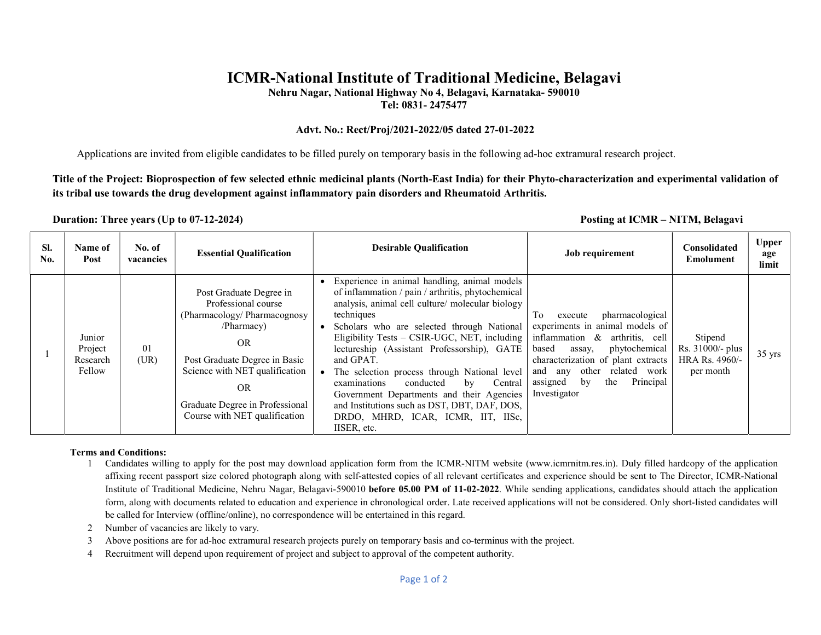# ICMR-National Institute of Traditional Medicine, Belagavi

Nehru Nagar, National Highway No 4, Belagavi, Karnataka- 590010

Tel: 0831- 2475477

#### Advt. No.: Rect/Proj/2021-2022/05 dated 27-01-2022

Applications are invited from eligible candidates to be filled purely on temporary basis in the following ad-hoc extramural research project.

Title of the Project: Bioprospection of few selected ethnic medicinal plants (North-East India) for their Phyto-characterization and experimental validation of its tribal use towards the drug development against inflammatory pain disorders and Rheumatoid Arthritis.

#### Duration: Three years (Up to 07-12-2024) **Posting at ICMR** – NITM, Belagavi

| SI.<br>No. | Name of<br>Post                         | No. of<br>vacancies | <b>Essential Qualification</b>                                                                                                                                                                                                                         | <b>Desirable Qualification</b>                                                                                                                                                                                                                                                                                                                                                                                                                                                                                                                                                                             | Job requirement                                                                                                                                                                                                                                                           | Consolidated<br><b>Emolument</b>                           | <b>Upper</b><br>age<br>limit |
|------------|-----------------------------------------|---------------------|--------------------------------------------------------------------------------------------------------------------------------------------------------------------------------------------------------------------------------------------------------|------------------------------------------------------------------------------------------------------------------------------------------------------------------------------------------------------------------------------------------------------------------------------------------------------------------------------------------------------------------------------------------------------------------------------------------------------------------------------------------------------------------------------------------------------------------------------------------------------------|---------------------------------------------------------------------------------------------------------------------------------------------------------------------------------------------------------------------------------------------------------------------------|------------------------------------------------------------|------------------------------|
|            | Junior<br>Project<br>Research<br>Fellow | 01<br>(UR)          | Post Graduate Degree in<br>Professional course<br>(Pharmacology/Pharmacognosy<br>/Pharmacy)<br><b>OR</b><br>Post Graduate Degree in Basic<br>Science with NET qualification<br>OR.<br>Graduate Degree in Professional<br>Course with NET qualification | Experience in animal handling, animal models<br>of inflammation / pain / arthritis, phytochemical<br>analysis, animal cell culture/ molecular biology<br>techniques<br>Scholars who are selected through National<br>Eligibility Tests – CSIR-UGC, NET, including $\vert$<br>lectureship (Assistant Professorship), GATE<br>and GPAT.<br>The selection process through National level<br>examinations<br>conducted<br>Central<br>$\mathbf{b} \mathbf{v}$<br>Government Departments and their Agencies<br>and Institutions such as DST, DBT, DAF, DOS,<br>DRDO, MHRD, ICAR, ICMR, IIT, IISc,<br>IISER, etc. | pharmacological<br>To<br>execute<br>experiments in animal models of<br>inflammation & arthritis, cell<br>phytochemical<br>based<br>assay,<br>characterization of plant extracts<br>other related work<br>and<br>any<br>Principal<br>the<br>assigned<br>by<br>Investigator | Stipend<br>Rs. 31000/- plus<br>HRA Rs. 4960/-<br>per month | $35 \text{ yrs}$             |

#### Terms and Conditions:

1 Candidates willing to apply for the post may download application form from the ICMR-NITM website (www.icmrnitm.res.in). Duly filled hardcopy of the application affixing recent passport size colored photograph along with self-attested copies of all relevant certificates and experience should be sent to The Director, ICMR-National Institute of Traditional Medicine, Nehru Nagar, Belagavi-590010 before 05.00 PM of 11-02-2022. While sending applications, candidates should attach the application form, along with documents related to education and experience in chronological order. Late received applications will not be considered. Only short-listed candidates will be called for Interview (offline/online), no correspondence will be entertained in this regard.

- 2 Number of vacancies are likely to vary.
- 3 Above positions are for ad-hoc extramural research projects purely on temporary basis and co-terminus with the project.
- 4 Recruitment will depend upon requirement of project and subject to approval of the competent authority.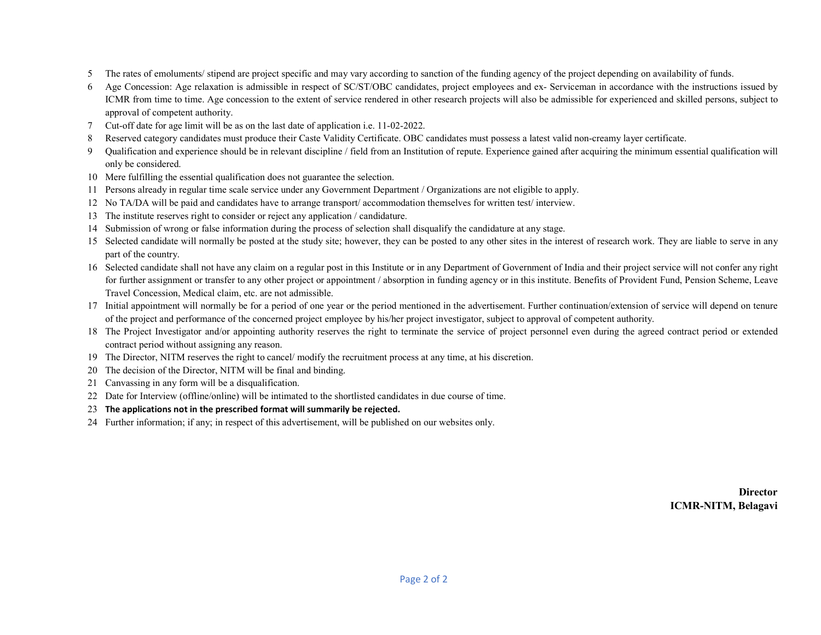- The rates of emoluments/ stipend are project specific and may vary according to sanction of the funding agency of the project depending on availability of funds.
- Age Concession: Age relaxation is admissible in respect of SC/ST/OBC candidates, project employees and ex- Serviceman in accordance with the instructions issued by ICMR from time to time. Age concession to the extent of service rendered in other research projects will also be admissible for experienced and skilled persons, subject to approval of competent authority.
- Cut-off date for age limit will be as on the last date of application i.e. 11-02-2022.
- Reserved category candidates must produce their Caste Validity Certificate. OBC candidates must possess a latest valid non-creamy layer certificate.
- Qualification and experience should be in relevant discipline / field from an Institution of repute. Experience gained after acquiring the minimum essential qualification will only be considered.
- Mere fulfilling the essential qualification does not guarantee the selection.
- Persons already in regular time scale service under any Government Department / Organizations are not eligible to apply.
- No TA/DA will be paid and candidates have to arrange transport/ accommodation themselves for written test/ interview.
- The institute reserves right to consider or reject any application / candidature.
- Submission of wrong or false information during the process of selection shall disqualify the candidature at any stage.
- Selected candidate will normally be posted at the study site; however, they can be posted to any other sites in the interest of research work. They are liable to serve in any part of the country.
- Selected candidate shall not have any claim on a regular post in this Institute or in any Department of Government of India and their project service will not confer any right for further assignment or transfer to any other project or appointment / absorption in funding agency or in this institute. Benefits of Provident Fund, Pension Scheme, Leave Travel Concession, Medical claim, etc. are not admissible.
- 17 Initial appointment will normally be for a period of one year or the period mentioned in the advertisement. Further continuation/extension of service will depend on tenure of the project and performance of the concerned project employee by his/her project investigator, subject to approval of competent authority.
- The Project Investigator and/or appointing authority reserves the right to terminate the service of project personnel even during the agreed contract period or extended contract period without assigning any reason.
- The Director, NITM reserves the right to cancel/ modify the recruitment process at any time, at his discretion.
- The decision of the Director, NITM will be final and binding.
- Canvassing in any form will be a disqualification.
- Date for Interview (offline/online) will be intimated to the shortlisted candidates in due course of time.
- The applications not in the prescribed format will summarily be rejected.
- Further information; if any; in respect of this advertisement, will be published on our websites only.

**Director** ICMR-NITM, Belagavi